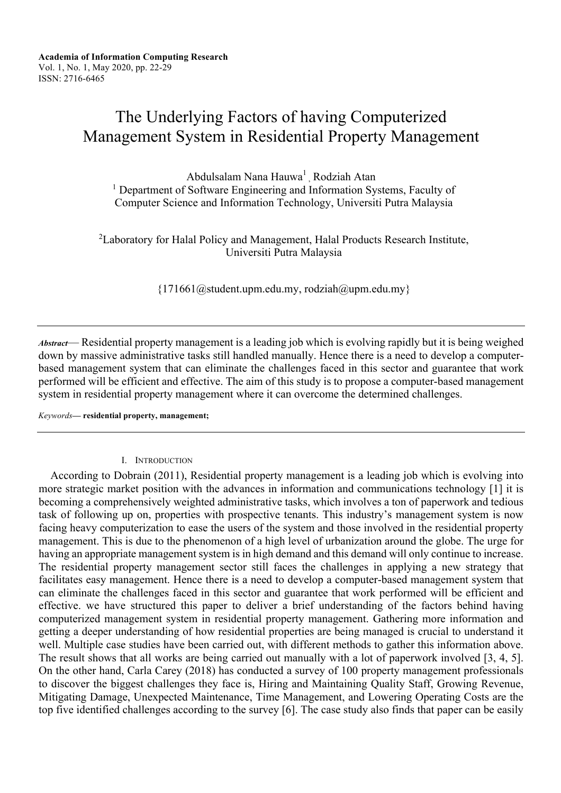# The Underlying Factors of having Computerized Management System in Residential Property Management

Abdulsalam Nana Hauwa<sup>1</sup>, Rodziah Atan <sup>1</sup> Department of Software Engineering and Information Systems, Faculty of Computer Science and Information Technology, Universiti Putra Malaysia

 ${}^{2}$ Laboratory for Halal Policy and Management, Halal Products Research Institute, Universiti Putra Malaysia

 ${171661}$ @student.upm.edu.my, rodziah@upm.edu.my}

*Abstract*— Residential property management is a leading job which is evolving rapidly but it is being weighed down by massive administrative tasks still handled manually. Hence there is a need to develop a computerbased management system that can eliminate the challenges faced in this sector and guarantee that work performed will be efficient and effective. The aim of this study is to propose a computer-based management system in residential property management where it can overcome the determined challenges.

*Keywords***— residential property, management;**

#### I. INTRODUCTION

 According to Dobrain (2011), Residential property management is a leading job which is evolving into more strategic market position with the advances in information and communications technology [1] it is becoming a comprehensively weighted administrative tasks, which involves a ton of paperwork and tedious task of following up on, properties with prospective tenants. This industry's management system is now facing heavy computerization to ease the users of the system and those involved in the residential property management. This is due to the phenomenon of a high level of urbanization around the globe. The urge for having an appropriate management system is in high demand and this demand will only continue to increase. The residential property management sector still faces the challenges in applying a new strategy that facilitates easy management. Hence there is a need to develop a computer-based management system that can eliminate the challenges faced in this sector and guarantee that work performed will be efficient and effective. we have structured this paper to deliver a brief understanding of the factors behind having computerized management system in residential property management. Gathering more information and getting a deeper understanding of how residential properties are being managed is crucial to understand it well. Multiple case studies have been carried out, with different methods to gather this information above. The result shows that all works are being carried out manually with a lot of paperwork involved [3, 4, 5]. On the other hand, Carla Carey (2018) has conducted a survey of 100 property management professionals to discover the biggest challenges they face is, Hiring and Maintaining Quality Staff, Growing Revenue, Mitigating Damage, Unexpected Maintenance, Time Management, and Lowering Operating Costs are the top five identified challenges according to the survey [6]. The case study also finds that paper can be easily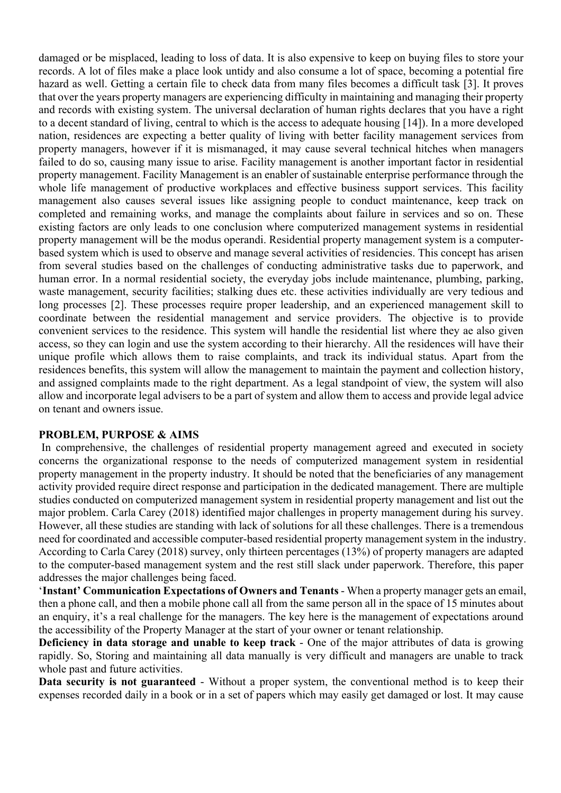damaged or be misplaced, leading to loss of data. It is also expensive to keep on buying files to store your records. A lot of files make a place look untidy and also consume a lot of space, becoming a potential fire hazard as well. Getting a certain file to check data from many files becomes a difficult task [3]. It proves that over the years property managers are experiencing difficulty in maintaining and managing their property and records with existing system. The universal declaration of human rights declares that you have a right to a decent standard of living, central to which is the access to adequate housing [14]). In a more developed nation, residences are expecting a better quality of living with better facility management services from property managers, however if it is mismanaged, it may cause several technical hitches when managers failed to do so, causing many issue to arise. Facility management is another important factor in residential property management. Facility Management is an enabler of sustainable enterprise performance through the whole life management of productive workplaces and effective business support services. This facility management also causes several issues like assigning people to conduct maintenance, keep track on completed and remaining works, and manage the complaints about failure in services and so on. These existing factors are only leads to one conclusion where computerized management systems in residential property management will be the modus operandi. Residential property management system is a computerbased system which is used to observe and manage several activities of residencies. This concept has arisen from several studies based on the challenges of conducting administrative tasks due to paperwork, and human error. In a normal residential society, the everyday jobs include maintenance, plumbing, parking, waste management, security facilities; stalking dues etc. these activities individually are very tedious and long processes [2]. These processes require proper leadership, and an experienced management skill to coordinate between the residential management and service providers. The objective is to provide convenient services to the residence. This system will handle the residential list where they ae also given access, so they can login and use the system according to their hierarchy. All the residences will have their unique profile which allows them to raise complaints, and track its individual status. Apart from the residences benefits, this system will allow the management to maintain the payment and collection history, and assigned complaints made to the right department. As a legal standpoint of view, the system will also allow and incorporate legal advisers to be a part of system and allow them to access and provide legal advice on tenant and owners issue.

### **PROBLEM, PURPOSE & AIMS**

In comprehensive, the challenges of residential property management agreed and executed in society concerns the organizational response to the needs of computerized management system in residential property management in the property industry. It should be noted that the beneficiaries of any management activity provided require direct response and participation in the dedicated management. There are multiple studies conducted on computerized management system in residential property management and list out the major problem. Carla Carey (2018) identified major challenges in property management during his survey. However, all these studies are standing with lack of solutions for all these challenges. There is a tremendous need for coordinated and accessible computer-based residential property management system in the industry. According to Carla Carey (2018) survey, only thirteen percentages (13%) of property managers are adapted to the computer-based management system and the rest still slack under paperwork. Therefore, this paper addresses the major challenges being faced.

'**Instant' Communication Expectations of Owners and Tenants** - When a property manager gets an email, then a phone call, and then a mobile phone call all from the same person all in the space of 15 minutes about an enquiry, it's a real challenge for the managers. The key here is the management of expectations around the accessibility of the Property Manager at the start of your owner or tenant relationship.

**Deficiency in data storage and unable to keep track** - One of the major attributes of data is growing rapidly. So, Storing and maintaining all data manually is very difficult and managers are unable to track whole past and future activities.

**Data security is not guaranteed** - Without a proper system, the conventional method is to keep their expenses recorded daily in a book or in a set of papers which may easily get damaged or lost. It may cause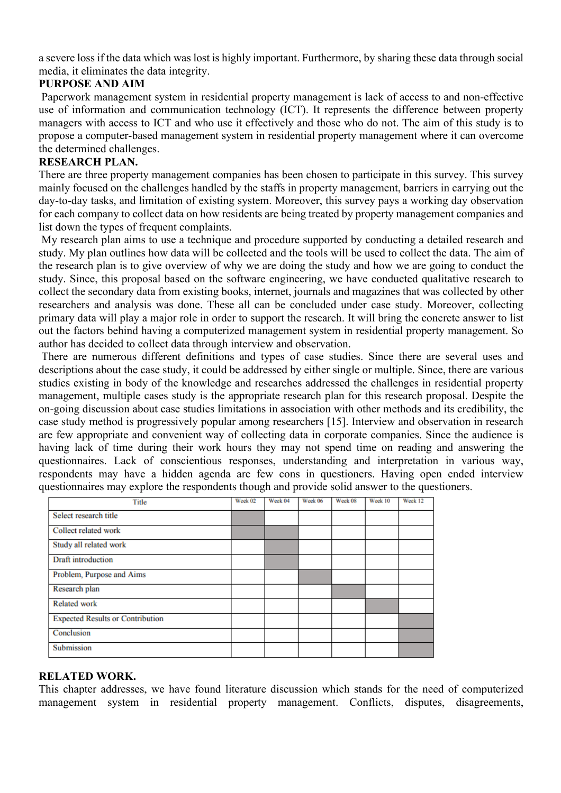a severe loss if the data which was lost is highly important. Furthermore, by sharing these data through social media, it eliminates the data integrity.

# **PURPOSE AND AIM**

Paperwork management system in residential property management is lack of access to and non-effective use of information and communication technology (ICT). It represents the difference between property managers with access to ICT and who use it effectively and those who do not. The aim of this study is to propose a computer-based management system in residential property management where it can overcome the determined challenges.

## **RESEARCH PLAN.**

There are three property management companies has been chosen to participate in this survey. This survey mainly focused on the challenges handled by the staffs in property management, barriers in carrying out the day-to-day tasks, and limitation of existing system. Moreover, this survey pays a working day observation for each company to collect data on how residents are being treated by property management companies and list down the types of frequent complaints.

My research plan aims to use a technique and procedure supported by conducting a detailed research and study. My plan outlines how data will be collected and the tools will be used to collect the data. The aim of the research plan is to give overview of why we are doing the study and how we are going to conduct the study. Since, this proposal based on the software engineering, we have conducted qualitative research to collect the secondary data from existing books, internet, journals and magazines that was collected by other researchers and analysis was done. These all can be concluded under case study. Moreover, collecting primary data will play a major role in order to support the research. It will bring the concrete answer to list out the factors behind having a computerized management system in residential property management. So author has decided to collect data through interview and observation.

There are numerous different definitions and types of case studies. Since there are several uses and descriptions about the case study, it could be addressed by either single or multiple. Since, there are various studies existing in body of the knowledge and researches addressed the challenges in residential property management, multiple cases study is the appropriate research plan for this research proposal. Despite the on-going discussion about case studies limitations in association with other methods and its credibility, the case study method is progressively popular among researchers [15]. Interview and observation in research are few appropriate and convenient way of collecting data in corporate companies. Since the audience is having lack of time during their work hours they may not spend time on reading and answering the questionnaires. Lack of conscientious responses, understanding and interpretation in various way, respondents may have a hidden agenda are few cons in questioners. Having open ended interview questionnaires may explore the respondents though and provide solid answer to the questioners.

| Title                                   | Week 02 | Week 04 | Week 06 | Week 08 | Week 10 | Week 12 |
|-----------------------------------------|---------|---------|---------|---------|---------|---------|
| Select research title                   |         |         |         |         |         |         |
| Collect related work                    |         |         |         |         |         |         |
| Study all related work                  |         |         |         |         |         |         |
| Draft introduction                      |         |         |         |         |         |         |
| Problem, Purpose and Aims               |         |         |         |         |         |         |
| Research plan                           |         |         |         |         |         |         |
| Related work                            |         |         |         |         |         |         |
| <b>Expected Results or Contribution</b> |         |         |         |         |         |         |
| Conclusion                              |         |         |         |         |         |         |
| Submission                              |         |         |         |         |         |         |

### **RELATED WORK.**

This chapter addresses, we have found literature discussion which stands for the need of computerized management system in residential property management. Conflicts, disputes, disagreements,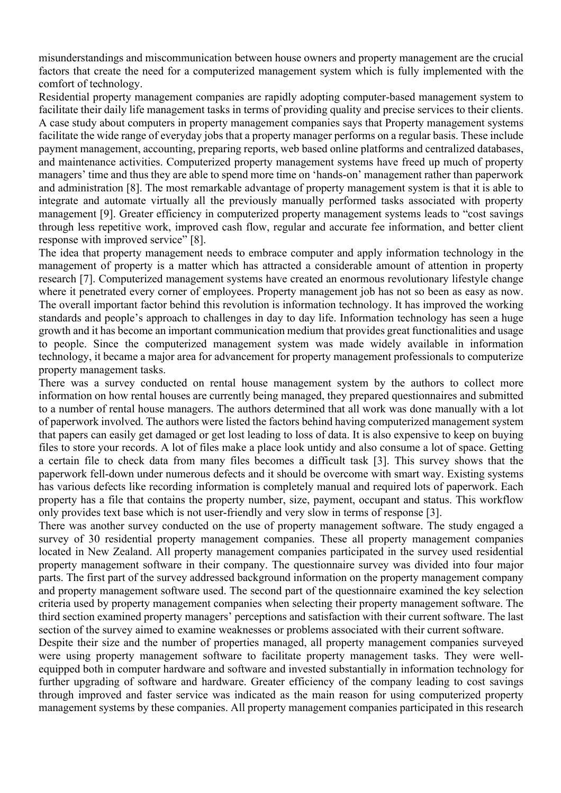misunderstandings and miscommunication between house owners and property management are the crucial factors that create the need for a computerized management system which is fully implemented with the comfort of technology.

Residential property management companies are rapidly adopting computer-based management system to facilitate their daily life management tasks in terms of providing quality and precise services to their clients. A case study about computers in property management companies says that Property management systems facilitate the wide range of everyday jobs that a property manager performs on a regular basis. These include payment management, accounting, preparing reports, web based online platforms and centralized databases, and maintenance activities. Computerized property management systems have freed up much of property managers' time and thus they are able to spend more time on 'hands-on' management rather than paperwork and administration [8]. The most remarkable advantage of property management system is that it is able to integrate and automate virtually all the previously manually performed tasks associated with property management [9]. Greater efficiency in computerized property management systems leads to "cost savings through less repetitive work, improved cash flow, regular and accurate fee information, and better client response with improved service" [8].

The idea that property management needs to embrace computer and apply information technology in the management of property is a matter which has attracted a considerable amount of attention in property research [7]. Computerized management systems have created an enormous revolutionary lifestyle change where it penetrated every corner of employees. Property management job has not so been as easy as now. The overall important factor behind this revolution is information technology. It has improved the working standards and people's approach to challenges in day to day life. Information technology has seen a huge growth and it has become an important communication medium that provides great functionalities and usage to people. Since the computerized management system was made widely available in information technology, it became a major area for advancement for property management professionals to computerize property management tasks.

There was a survey conducted on rental house management system by the authors to collect more information on how rental houses are currently being managed, they prepared questionnaires and submitted to a number of rental house managers. The authors determined that all work was done manually with a lot of paperwork involved. The authors were listed the factors behind having computerized management system that papers can easily get damaged or get lost leading to loss of data. It is also expensive to keep on buying files to store your records. A lot of files make a place look untidy and also consume a lot of space. Getting a certain file to check data from many files becomes a difficult task [3]. This survey shows that the paperwork fell-down under numerous defects and it should be overcome with smart way. Existing systems has various defects like recording information is completely manual and required lots of paperwork. Each property has a file that contains the property number, size, payment, occupant and status. This workflow only provides text base which is not user-friendly and very slow in terms of response [3].

There was another survey conducted on the use of property management software. The study engaged a survey of 30 residential property management companies. These all property management companies located in New Zealand. All property management companies participated in the survey used residential property management software in their company. The questionnaire survey was divided into four major parts. The first part of the survey addressed background information on the property management company and property management software used. The second part of the questionnaire examined the key selection criteria used by property management companies when selecting their property management software. The third section examined property managers' perceptions and satisfaction with their current software. The last section of the survey aimed to examine weaknesses or problems associated with their current software.

Despite their size and the number of properties managed, all property management companies surveyed were using property management software to facilitate property management tasks. They were wellequipped both in computer hardware and software and invested substantially in information technology for further upgrading of software and hardware. Greater efficiency of the company leading to cost savings through improved and faster service was indicated as the main reason for using computerized property management systems by these companies. All property management companies participated in this research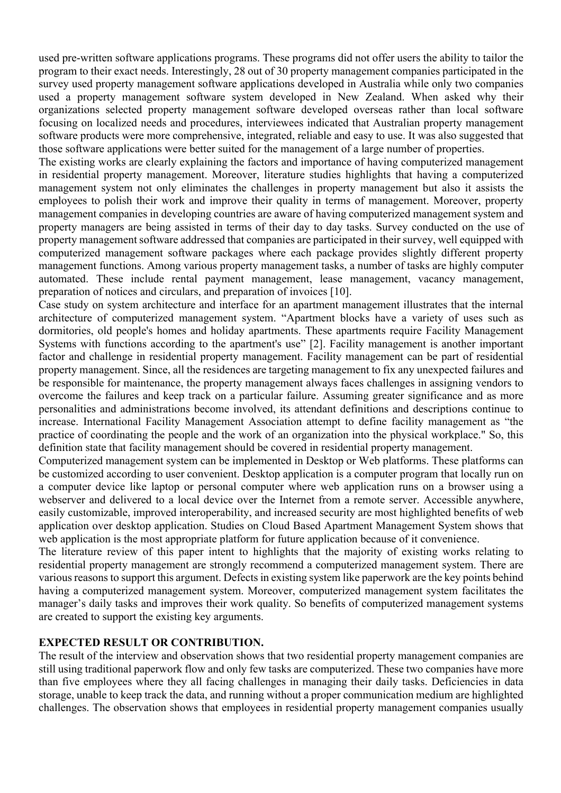used pre-written software applications programs. These programs did not offer users the ability to tailor the program to their exact needs. Interestingly, 28 out of 30 property management companies participated in the survey used property management software applications developed in Australia while only two companies used a property management software system developed in New Zealand. When asked why their organizations selected property management software developed overseas rather than local software focusing on localized needs and procedures, interviewees indicated that Australian property management software products were more comprehensive, integrated, reliable and easy to use. It was also suggested that those software applications were better suited for the management of a large number of properties.

The existing works are clearly explaining the factors and importance of having computerized management in residential property management. Moreover, literature studies highlights that having a computerized management system not only eliminates the challenges in property management but also it assists the employees to polish their work and improve their quality in terms of management. Moreover, property management companies in developing countries are aware of having computerized management system and property managers are being assisted in terms of their day to day tasks. Survey conducted on the use of property management software addressed that companies are participated in their survey, well equipped with computerized management software packages where each package provides slightly different property management functions. Among various property management tasks, a number of tasks are highly computer automated. These include rental payment management, lease management, vacancy management, preparation of notices and circulars, and preparation of invoices [10].

Case study on system architecture and interface for an apartment management illustrates that the internal architecture of computerized management system. "Apartment blocks have a variety of uses such as dormitories, old people's homes and holiday apartments. These apartments require Facility Management Systems with functions according to the apartment's use" [2]. Facility management is another important factor and challenge in residential property management. Facility management can be part of residential property management. Since, all the residences are targeting management to fix any unexpected failures and be responsible for maintenance, the property management always faces challenges in assigning vendors to overcome the failures and keep track on a particular failure. Assuming greater significance and as more personalities and administrations become involved, its attendant definitions and descriptions continue to increase. International Facility Management Association attempt to define facility management as "the practice of coordinating the people and the work of an organization into the physical workplace." So, this definition state that facility management should be covered in residential property management.

Computerized management system can be implemented in Desktop or Web platforms. These platforms can be customized according to user convenient. Desktop application is a computer program that locally run on a computer device like laptop or personal computer where web application runs on a browser using a webserver and delivered to a local device over the Internet from a remote server. Accessible anywhere, easily customizable, improved interoperability, and increased security are most highlighted benefits of web application over desktop application. Studies on Cloud Based Apartment Management System shows that web application is the most appropriate platform for future application because of it convenience.

The literature review of this paper intent to highlights that the majority of existing works relating to residential property management are strongly recommend a computerized management system. There are various reasons to support this argument. Defects in existing system like paperwork are the key points behind having a computerized management system. Moreover, computerized management system facilitates the manager's daily tasks and improves their work quality. So benefits of computerized management systems are created to support the existing key arguments.

# **EXPECTED RESULT OR CONTRIBUTION.**

The result of the interview and observation shows that two residential property management companies are still using traditional paperwork flow and only few tasks are computerized. These two companies have more than five employees where they all facing challenges in managing their daily tasks. Deficiencies in data storage, unable to keep track the data, and running without a proper communication medium are highlighted challenges. The observation shows that employees in residential property management companies usually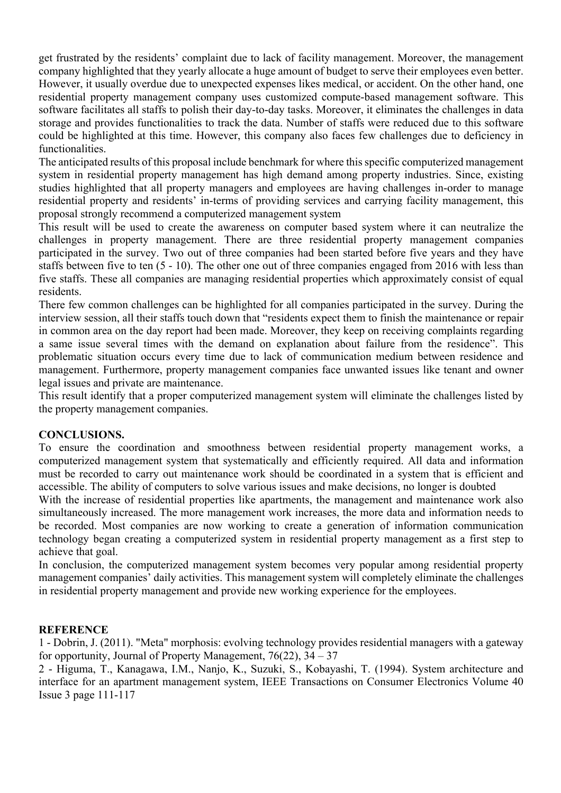get frustrated by the residents' complaint due to lack of facility management. Moreover, the management company highlighted that they yearly allocate a huge amount of budget to serve their employees even better. However, it usually overdue due to unexpected expenses likes medical, or accident. On the other hand, one residential property management company uses customized compute-based management software. This software facilitates all staffs to polish their day-to-day tasks. Moreover, it eliminates the challenges in data storage and provides functionalities to track the data. Number of staffs were reduced due to this software could be highlighted at this time. However, this company also faces few challenges due to deficiency in functionalities.

The anticipated results of this proposal include benchmark for where this specific computerized management system in residential property management has high demand among property industries. Since, existing studies highlighted that all property managers and employees are having challenges in-order to manage residential property and residents' in-terms of providing services and carrying facility management, this proposal strongly recommend a computerized management system

This result will be used to create the awareness on computer based system where it can neutralize the challenges in property management. There are three residential property management companies participated in the survey. Two out of three companies had been started before five years and they have staffs between five to ten (5 - 10). The other one out of three companies engaged from 2016 with less than five staffs. These all companies are managing residential properties which approximately consist of equal residents.

There few common challenges can be highlighted for all companies participated in the survey. During the interview session, all their staffs touch down that "residents expect them to finish the maintenance or repair in common area on the day report had been made. Moreover, they keep on receiving complaints regarding a same issue several times with the demand on explanation about failure from the residence". This problematic situation occurs every time due to lack of communication medium between residence and management. Furthermore, property management companies face unwanted issues like tenant and owner legal issues and private are maintenance.

This result identify that a proper computerized management system will eliminate the challenges listed by the property management companies.

### **CONCLUSIONS.**

To ensure the coordination and smoothness between residential property management works, a computerized management system that systematically and efficiently required. All data and information must be recorded to carry out maintenance work should be coordinated in a system that is efficient and accessible. The ability of computers to solve various issues and make decisions, no longer is doubted

With the increase of residential properties like apartments, the management and maintenance work also simultaneously increased. The more management work increases, the more data and information needs to be recorded. Most companies are now working to create a generation of information communication technology began creating a computerized system in residential property management as a first step to achieve that goal.

In conclusion, the computerized management system becomes very popular among residential property management companies' daily activities. This management system will completely eliminate the challenges in residential property management and provide new working experience for the employees.

#### **REFERENCE**

1 - Dobrin, J. (2011). "Meta" morphosis: evolving technology provides residential managers with a gateway for opportunity, Journal of Property Management,  $76(22)$ ,  $34 - 37$ 

2 - Higuma, T., Kanagawa, I.M., Nanjo, K., Suzuki, S., Kobayashi, T. (1994). System architecture and interface for an apartment management system, IEEE Transactions on Consumer Electronics Volume 40 Issue 3 page 111-117